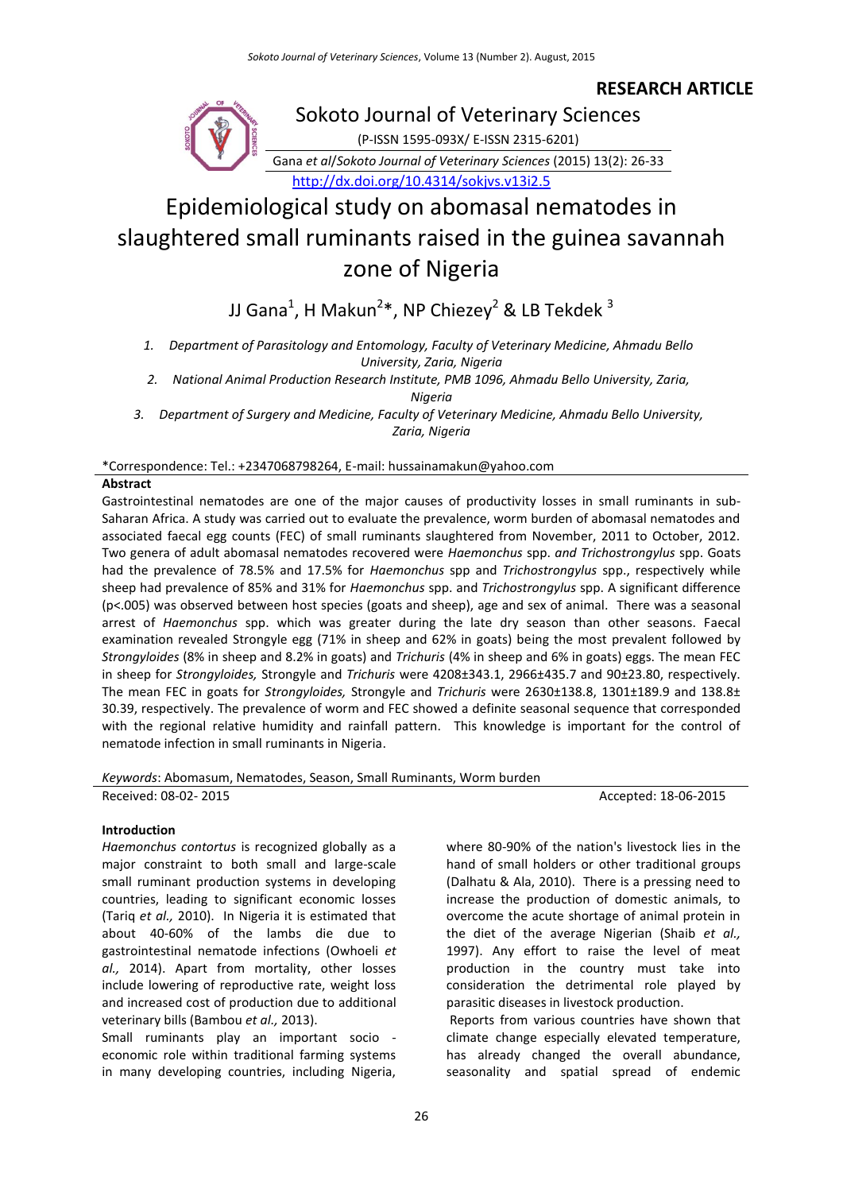# **RESEARCH ARTICLE**



Sokoto Journal of Veterinary Sciences (P-ISSN 1595-093X/ E-ISSN 2315-6201) Gana *et al*/*Sokoto Journal of Veterinary Sciences* (2015) 13(2): 26-33 <http://dx.doi.org/10.4314/sokjvs.v13i2.5>

# Epidemiological study on abomasal nematodes in slaughtered small ruminants raised in the guinea savannah zone of Nigeria

JJ Gana $^1$ , H Makun $^{2*}$ , NP Chiezey $^2$  & LB Tekdek  $^3$ 

*1. Department of Parasitology and Entomology, Faculty of Veterinary Medicine, Ahmadu Bello University, Zaria, Nigeria*

*2. National Animal Production Research Institute, PMB 1096, Ahmadu Bello University, Zaria, Nigeria*

*3. Department of Surgery and Medicine, Faculty of Veterinary Medicine, Ahmadu Bello University, Zaria, Nigeria*

\*Correspondence: Tel.: +2347068798264, E-mail: hussainamakun@yahoo.com

# **Abstract**

Gastrointestinal nematodes are one of the major causes of productivity losses in small ruminants in sub-Saharan Africa. A study was carried out to evaluate the prevalence, worm burden of abomasal nematodes and associated faecal egg counts (FEC) of small ruminants slaughtered from November, 2011 to October, 2012. Two genera of adult abomasal nematodes recovered were *Haemonchus* spp. *and Trichostrongylus* spp. Goats had the prevalence of 78.5% and 17.5% for *Haemonchus* spp and *Trichostrongylus* spp., respectively while sheep had prevalence of 85% and 31% for *Haemonchus* spp. and *Trichostrongylus* spp. A significant difference (p<.005) was observed between host species (goats and sheep), age and sex of animal. There was a seasonal arrest of *Haemonchus* spp. which was greater during the late dry season than other seasons. Faecal examination revealed Strongyle egg (71% in sheep and 62% in goats) being the most prevalent followed by *Strongyloides* (8% in sheep and 8.2% in goats) and *Trichuris* (4% in sheep and 6% in goats) eggs. The mean FEC in sheep for *Strongyloides,* Strongyle and *Trichuris* were 4208±343.1, 2966±435.7 and 90±23.80, respectively. The mean FEC in goats for *Strongyloides,* Strongyle and *Trichuris* were 2630±138.8, 1301±189.9 and 138.8± 30.39, respectively. The prevalence of worm and FEC showed a definite seasonal sequence that corresponded with the regional relative humidity and rainfall pattern. This knowledge is important for the control of nematode infection in small ruminants in Nigeria.

*Keywords*: Abomasum, Nematodes, Season, Small Ruminants, Worm burden

Received: 08-02- 2015 **Accepted: 18-06-2015** Accepted: 18-06-2015

# **Introduction**

*Haemonchus contortus* is recognized globally as a major constraint to both small and large-scale small ruminant production systems in developing countries, leading to significant economic losses (Tariq *et al.,* 2010). In Nigeria it is estimated that about 40-60% of the lambs die due to gastrointestinal nematode infections (Owhoeli *et al.,* 2014). Apart from mortality, other losses include lowering of reproductive rate, weight loss and increased cost of production due to additional veterinary bills (Bambou *et al.,* 2013).

Small ruminants play an important socio economic role within traditional farming systems in many developing countries, including Nigeria,

where 80-90% of the nation's livestock lies in the hand of small holders or other traditional groups (Dalhatu & Ala, 2010). There is a pressing need to increase the production of domestic animals, to overcome the acute shortage of animal protein in the diet of the average Nigerian (Shaib *et al.,* 1997). Any effort to raise the level of meat production in the country must take into consideration the detrimental role played by parasitic diseases in livestock production.

Reports from various countries have shown that climate change especially elevated temperature, has already changed the overall abundance, seasonality and spatial spread of endemic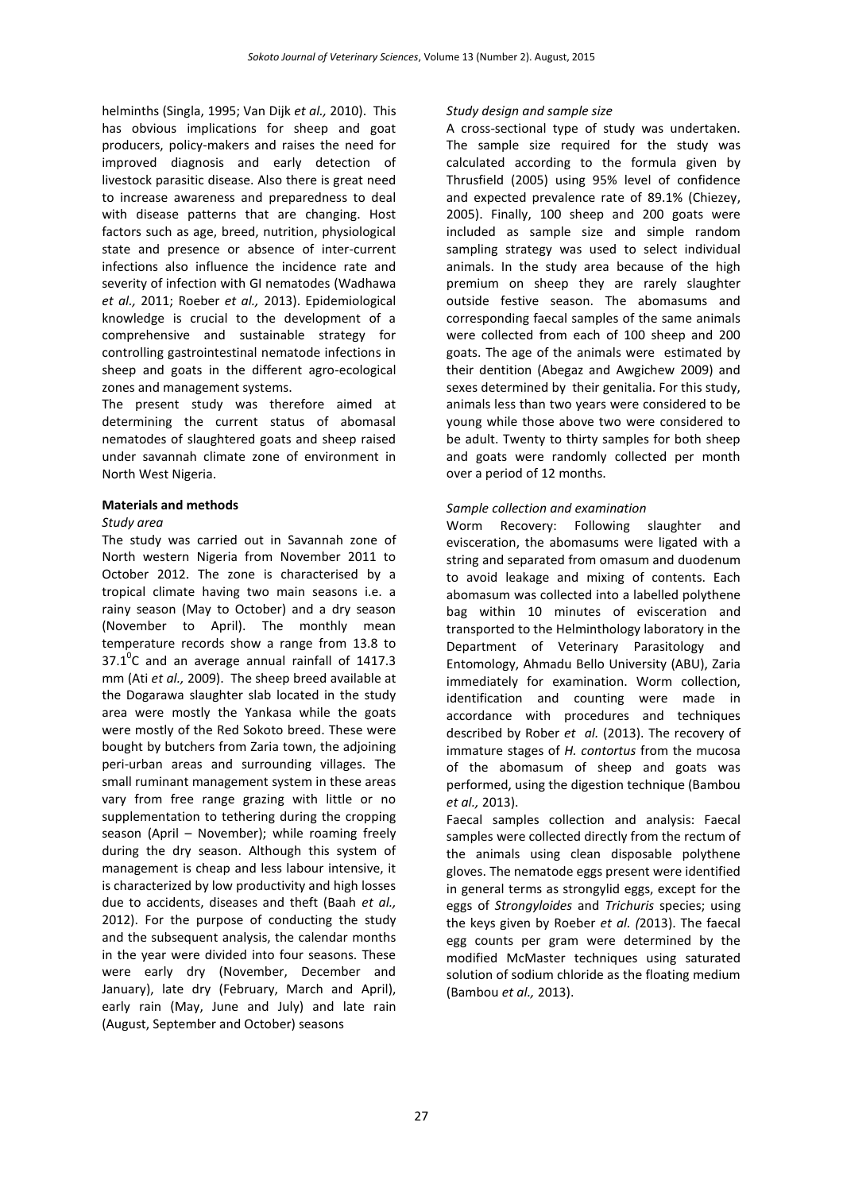helminths (Singla, 1995; [Van Dijk](http://rstb.royalsocietypublishing.org/content/365/1554/2853.full#ref-64) *et al.,* 2010). This has obvious implications for sheep and goat producers, policy-makers and raises the need for improved diagnosis and early detection of livestock parasitic disease. Also there is great need to increase awareness and preparedness to deal with disease patterns that are changing. Host factors such as age, breed, nutrition, physiological state and presence or absence of inter-current infections also influence the incidence rate and severity of infection with GI nematodes (Wadhawa *et al.,* 2011; Roeber *et al.,* 2013). Epidemiological knowledge is crucial to the development of a comprehensive and sustainable strategy for controlling gastrointestinal nematode infections in sheep and goats in the different agro-ecological zones and management systems.

The present study was therefore aimed at determining the current status of abomasal nematodes of slaughtered goats and sheep raised under savannah climate zone of environment in North West Nigeria.

# **Materials and methods**

#### *Study area*

The study was carried out in Savannah zone of North western Nigeria from November 2011 to October 2012. The zone is characterised by a tropical climate having two main seasons i.e. a rainy season (May to October) and a dry season (November to April). The monthly mean temperature records show a range from 13.8 to  $37.1^{\circ}$ C and an average annual rainfall of 1417.3 mm (Ati *et al.,* 2009). The sheep breed available at the Dogarawa slaughter slab located in the study area were mostly the Yankasa while the goats were mostly of the Red Sokoto breed. These were bought by butchers from Zaria town, the adjoining peri-urban areas and surrounding villages. The small ruminant management system in these areas vary from free range grazing with little or no supplementation to tethering during the cropping season (April – November); while roaming freely during the dry season. Although this system of management is cheap and less labour intensive, it is characterized by low productivity and high losses due to accidents, diseases and theft (Baah *et al.,* 2012). For the purpose of conducting the study and the subsequent analysis, the calendar months in the year were divided into four seasons. These were early dry (November, December and January), late dry (February, March and April), early rain (May, June and July) and late rain (August, September and October) seasons

# *Study design and sample size*

A cross-sectional type of study was undertaken. The sample size required for the study was calculated according to the formula given by Thrusfield (2005) using 95% level of confidence and expected prevalence rate of 89.1% (Chiezey, 2005). Finally, 100 sheep and 200 goats were included as sample size and simple random sampling strategy was used to select individual animals. In the study area because of the high premium on sheep they are rarely slaughter outside festive season. The abomasums and corresponding faecal samples of the same animals were collected from each of 100 sheep and 200 goats. The age of the animals were estimated by their dentition (Abegaz and Awgichew 2009) and sexes determined by their genitalia. For this study, animals less than two years were considered to be young while those above two were considered to be adult. Twenty to thirty samples for both sheep and goats were randomly collected per month over a period of 12 months.

# *Sample collection and examination*

Worm Recovery: Following slaughter and evisceration, the abomasums were ligated with a string and separated from omasum and duodenum to avoid leakage and mixing of contents. Each abomasum was collected into a labelled polythene bag within 10 minutes of evisceration and transported to the Helminthology laboratory in the Department of Veterinary Parasitology and Entomology, Ahmadu Bello University (ABU), Zaria immediately for examination. Worm collection, identification and counting were made in accordance with procedures and techniques described by Rober *et al.* (2013). The recovery of immature stages of *H. contortus* from the mucosa of the abomasum of sheep and goats was performed, using the digestion technique (Bambou *et al.,* 2013).

Faecal samples collection and analysis: Faecal samples were collected directly from the rectum of the animals using clean disposable polythene gloves. The nematode eggs present were identified in general terms as strongylid eggs, except for the eggs of *Strongyloides* and *Trichuris* species; using the keys given by Roeber *et al. (*2013). The faecal egg counts per gram were determined by the modified McMaster techniques using saturated solution of sodium chloride as the floating medium (Bambou *et al.,* 2013).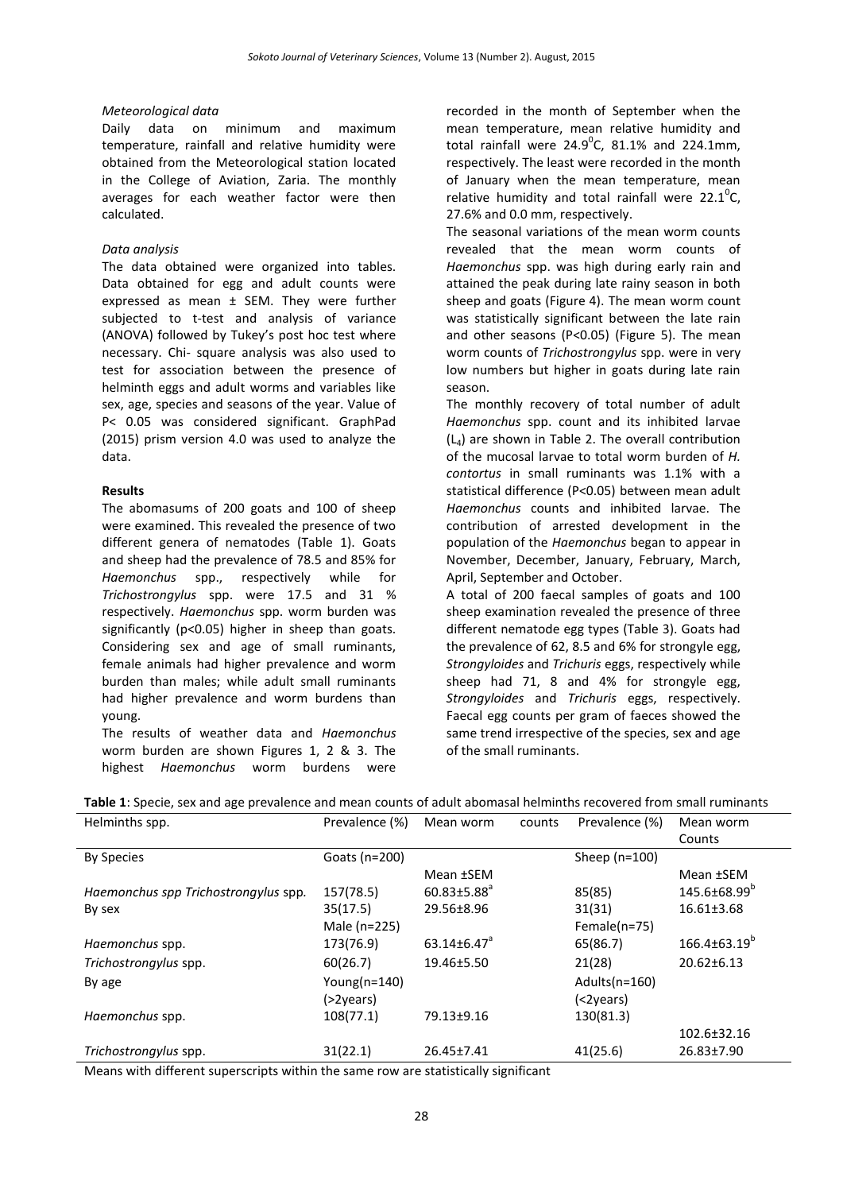#### *Meteorological data*

Daily data on minimum and maximum temperature, rainfall and relative humidity were obtained from the Meteorological station located in the College of Aviation, Zaria. The monthly averages for each weather factor were then calculated.

#### *Data analysis*

The data obtained were organized into tables. Data obtained for egg and adult counts were expressed as mean ± SEM. They were further subjected to t-test and analysis of variance (ANOVA) followed by Tukey's post hoc test where necessary. Chi- square analysis was also used to test for association between the presence of helminth eggs and adult worms and variables like sex, age, species and seasons of the year. Value of P< 0.05 was considered significant. GraphPad (2015) prism version 4.0 was used to analyze the data.

#### **Results**

The abomasums of 200 goats and 100 of sheep were examined. This revealed the presence of two different genera of nematodes (Table 1). Goats and sheep had the prevalence of 78.5 and 85% for *Haemonchus* spp., respectively while for *Trichostrongylus* spp. were 17.5 and 31 % respectively. *Haemonchus* spp. worm burden was significantly (p<0.05) higher in sheep than goats. Considering sex and age of small ruminants, female animals had higher prevalence and worm burden than males; while adult small ruminants had higher prevalence and worm burdens than young.

The results of weather data and *Haemonchus* worm burden are shown Figures 1, 2 & 3. The highest *Haemonchus* worm burdens were

recorded in the month of September when the mean temperature, mean relative humidity and total rainfall were  $24.9^{\circ}$ C, 81.1% and 224.1mm, respectively. The least were recorded in the month of January when the mean temperature, mean relative humidity and total rainfall were 22.1 $^{\circ}$ C, 27.6% and 0.0 mm, respectively.

The seasonal variations of the mean worm counts revealed that the mean worm counts of *Haemonchus* spp. was high during early rain and attained the peak during late rainy season in both sheep and goats (Figure 4). The mean worm count was statistically significant between the late rain and other seasons (P<0.05) (Figure 5). The mean worm counts of *Trichostrongylus* spp. were in very low numbers but higher in goats during late rain season.

The monthly recovery of total number of adult *Haemonchus* spp. count and its inhibited larvae  $(L<sub>4</sub>)$  are shown in Table 2. The overall contribution of the mucosal larvae to total worm burden of *H. contortus* in small ruminants was 1.1% with a statistical difference (P<0.05) between mean adult *Haemonchus* counts and inhibited larvae. The contribution of arrested development in the population of the *Haemonchus* began to appear in November, December, January, February, March, April, September and October.

A total of 200 faecal samples of goats and 100 sheep examination revealed the presence of three different nematode egg types (Table 3). Goats had the prevalence of 62, 8.5 and 6% for strongyle egg, *Strongyloides* and *Trichuris* eggs, respectively while sheep had 71, 8 and 4% for strongyle egg, *Strongyloides* and *Trichuris* eggs, respectively. Faecal egg counts per gram of faeces showed the same trend irrespective of the species, sex and age of the small ruminants.

| Helminths spp.                       | Prevalence (%)   | Mean worm                     | counts | Prevalence (%)  | Mean worm                |
|--------------------------------------|------------------|-------------------------------|--------|-----------------|--------------------------|
|                                      |                  |                               |        |                 | Counts                   |
| <b>By Species</b>                    | Goats (n=200)    |                               |        | Sheep $(n=100)$ |                          |
|                                      |                  | Mean ±SEM                     |        |                 | Mean ±SEM                |
| Haemonchus spp Trichostrongylus spp. | 157(78.5)        | $60.83 \pm 5.88$ <sup>a</sup> |        | 85(85)          | 145.6±68.99 <sup>b</sup> |
| By sex                               | 35(17.5)         | 29.56±8.96                    |        | 31(31)          | $16.61 \pm 3.68$         |
|                                      | Male (n=225)     |                               |        | Female $(n=75)$ |                          |
| Haemonchus spp.                      | 173(76.9)        | $63.14\pm6.47$ <sup>a</sup>   |        | 65(86.7)        | $166.4\pm63.19^{b}$      |
| Trichostrongylus spp.                | 60(26.7)         | 19.46±5.50                    |        | 21(28)          | $20.62 \pm 6.13$         |
| By age                               | Young( $n=140$ ) |                               |        | Adults(n=160)   |                          |
|                                      | (>2years)        |                               |        | (<2years)       |                          |
| Haemonchus spp.                      | 108(77.1)        | 79.13±9.16                    |        | 130(81.3)       |                          |
|                                      |                  |                               |        |                 | 102.6±32.16              |
| Trichostrongylus spp.                | 31(22.1)         | 26.45±7.41                    |        | 41(25.6)        | 26.83±7.90               |

**Table 1**: Specie, sex and age prevalence and mean counts of adult abomasal helminths recovered from small ruminants

Means with different superscripts within the same row are statistically significant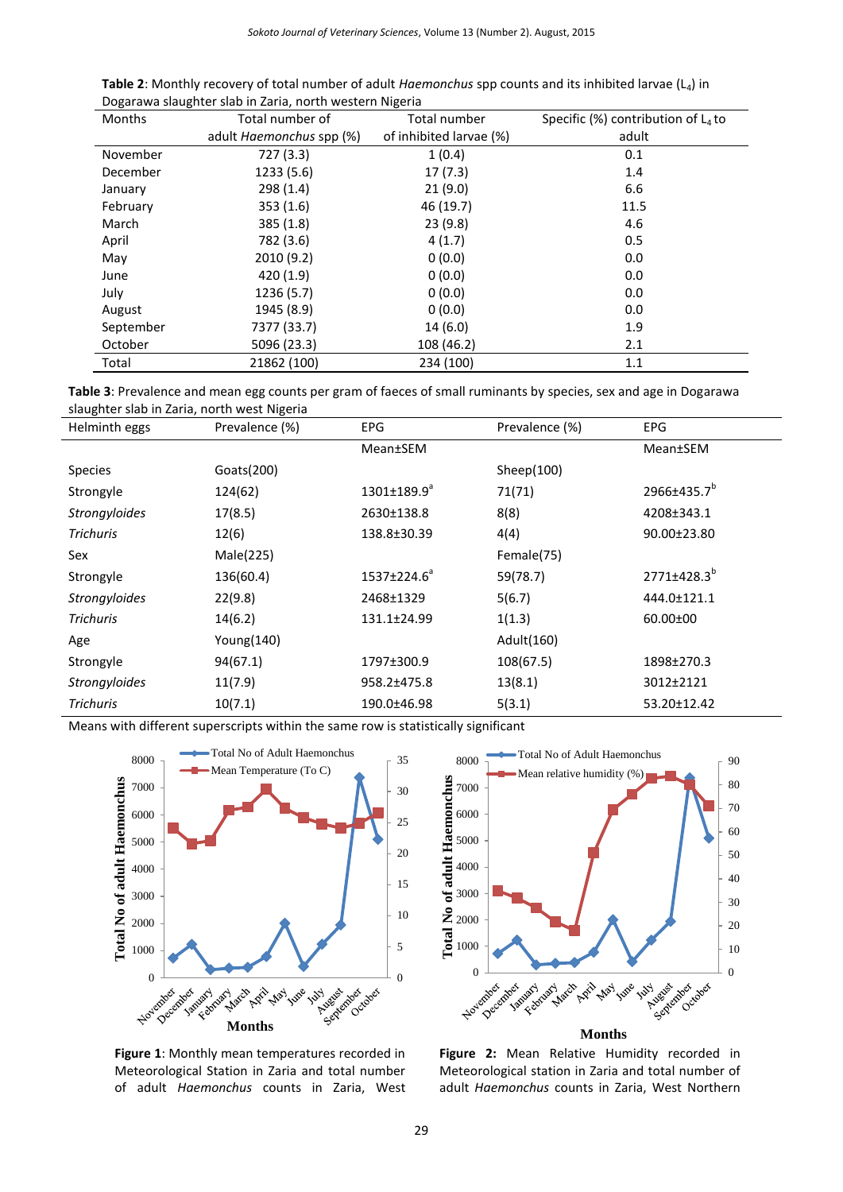| <b>Table 2:</b> Monthly recovery of total number of adult <i>Haemonchus</i> spp counts and its inhibited larvae ( $L_4$ ) in |  |
|------------------------------------------------------------------------------------------------------------------------------|--|
| Dogarawa slaughter slab in Zaria, north western Nigeria                                                                      |  |

| <b>Months</b> | Total number of                 | Total number            | Specific (%) contribution of $L_4$ to |
|---------------|---------------------------------|-------------------------|---------------------------------------|
|               | adult <i>Haemonchus</i> spp (%) | of inhibited larvae (%) | adult                                 |
| November      | 727 (3.3)                       | 1(0.4)                  | 0.1                                   |
| December      | 1233 (5.6)                      | 17(7.3)                 | 1.4                                   |
| January       | 298(1.4)                        | 21(9.0)                 | 6.6                                   |
| February      | 353(1.6)                        | 46 (19.7)               | 11.5                                  |
| March         | 385(1.8)                        | 23(9.8)                 | 4.6                                   |
| April         | 782 (3.6)                       | 4(1.7)                  | 0.5                                   |
| May           | 2010 (9.2)                      | 0(0.0)                  | 0.0                                   |
| June          | 420 (1.9)                       | 0(0.0)                  | 0.0                                   |
| July          | 1236 (5.7)                      | 0(0.0)                  | 0.0                                   |
| August        | 1945 (8.9)                      | 0(0.0)                  | 0.0                                   |
| September     | 7377 (33.7)                     | 14(6.0)                 | 1.9                                   |
| October       | 5096 (23.3)                     | 108 (46.2)              | 2.1                                   |
| Total         | 21862 (100)                     | 234 (100)               | 1.1                                   |

| Table 3: Prevalence and mean egg counts per gram of faeces of small ruminants by species, sex and age in Dogarawa |  |
|-------------------------------------------------------------------------------------------------------------------|--|
| slaughter slab in Zaria, north west Nigeria                                                                       |  |

| Helminth eggs        | Prevalence (%) | <b>EPG</b>               | Prevalence (%) | <b>EPG</b>              |
|----------------------|----------------|--------------------------|----------------|-------------------------|
|                      |                | <b>Mean</b> ±SEM         |                | <b>Mean</b> ±SEM        |
| <b>Species</b>       | Goats(200)     |                          | Sheep $(100)$  |                         |
| Strongyle            | 124(62)        | $1301 \pm 189.9^{\circ}$ | 71(71)         | 2966±435.7 <sup>b</sup> |
| <b>Strongyloides</b> | 17(8.5)        | 2630±138.8               | 8(8)           | 4208±343.1              |
| <b>Trichuris</b>     | 12(6)          | 138.8±30.39              | 4(4)           | 90.00±23.80             |
| Sex                  | Male(225)      |                          | Female(75)     |                         |
| Strongyle            | 136(60.4)      | 1537±224.6 <sup>a</sup>  | 59(78.7)       | 2771±428.3 <sup>b</sup> |
| <b>Strongyloides</b> | 22(9.8)        | 2468±1329                | 5(6.7)         | 444.0±121.1             |
| <b>Trichuris</b>     | 14(6.2)        | 131.1±24.99              | 1(1.3)         | $60.00 \pm 00$          |
| Age                  | Young(140)     |                          | Adult(160)     |                         |
| Strongyle            | 94(67.1)       | 1797±300.9               | 108(67.5)      | 1898±270.3              |
| Strongyloides        | 11(7.9)        | 958.2±475.8              | 13(8.1)        | 3012±2121               |
| <b>Trichuris</b>     | 10(7.1)        | 190.0±46.98              | 5(3.1)         | 53.20±12.42             |

Means with different superscripts within the same row is statistically significant



**Figure 1**: Monthly mean temperatures recorded in Meteorological Station in Zaria and total number of adult *Haemonchus* counts in Zaria, West



**Figure 2:** Mean Relative Humidity recorded in Meteorological station in Zaria and total number of adult *Haemonchus* counts in Zaria, West Northern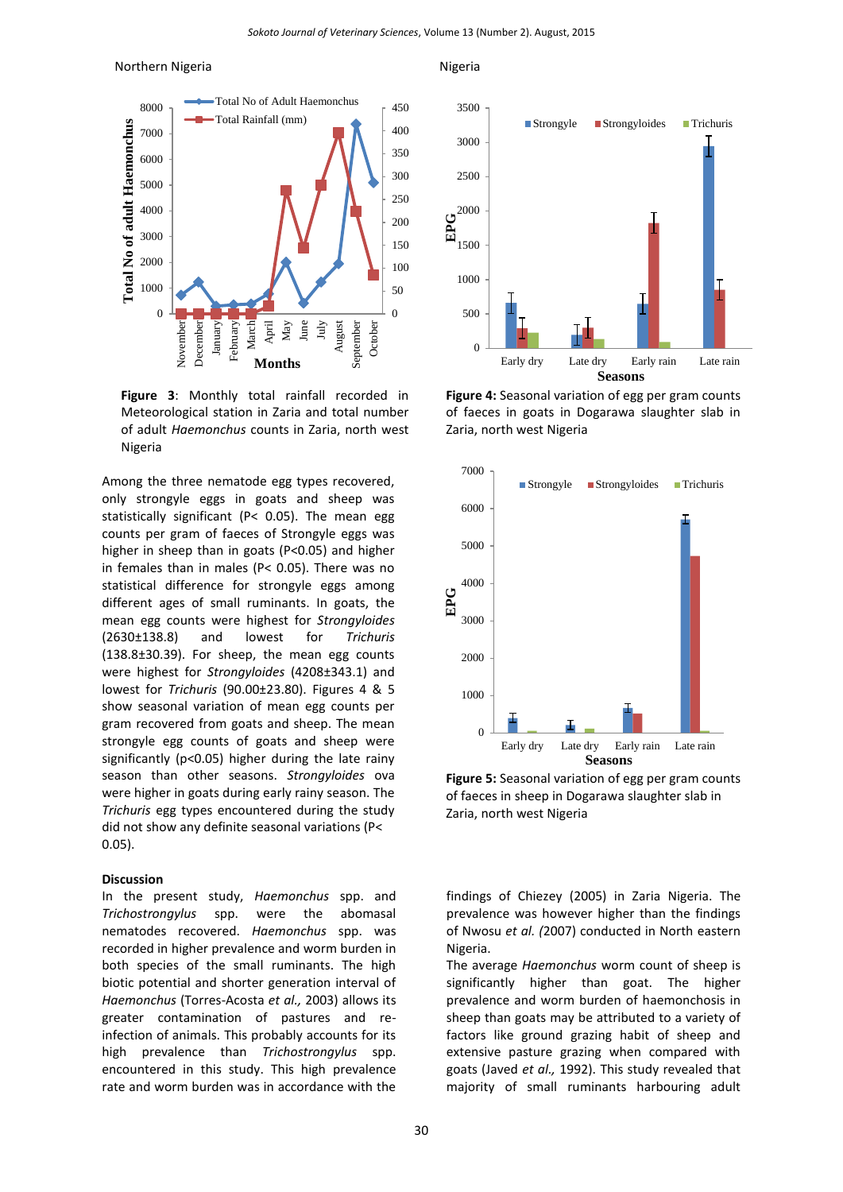#### Northern Nigeria **Nigeria** Nigeria



**Figure 3**: Monthly total rainfall recorded in Meteorological station in Zaria and total number of adult *Haemonchus* counts in Zaria, north west Nigeria

Among the three nematode egg types recovered, only strongyle eggs in goats and sheep was statistically significant (P< 0.05). The mean egg counts per gram of faeces of Strongyle eggs was higher in sheep than in goats (P<0.05) and higher in females than in males (P< 0.05). There was no statistical difference for strongyle eggs among different ages of small ruminants. In goats, the mean egg counts were highest for *Strongyloides* (2630±138.8) and lowest for *Trichuris*  (138.8±30.39). For sheep, the mean egg counts were highest for *Strongyloides* (4208±343.1) and lowest for *Trichuris* (90.00±23.80). Figures 4 & 5 show seasonal variation of mean egg counts per gram recovered from goats and sheep. The mean strongyle egg counts of goats and sheep were significantly (p<0.05) higher during the late rainy season than other seasons. *Strongyloides* ova were higher in goats during early rainy season. The *Trichuris* egg types encountered during the study did not show any definite seasonal variations (P< 0.05).

# **Discussion**

In the present study, *Haemonchus* spp. and *Trichostrongylus* spp. were the abomasal nematodes recovered. *Haemonchus* spp. was recorded in higher prevalence and worm burden in both species of the small ruminants. The high biotic potential and shorter generation interval of *Haemonchus* (Torres-Acosta *et al.,* 2003) allows its greater contamination of pastures and reinfection of animals. This probably accounts for its high prevalence than *Trichostrongylus* spp. encountered in this study. This high prevalence rate and worm burden was in accordance with the



**Figure 4:** Seasonal variation of egg per gram counts of faeces in goats in Dogarawa slaughter slab in Zaria, north west Nigeria



**Figure 5:** Seasonal variation of egg per gram counts of faeces in sheep in Dogarawa slaughter slab in Zaria, north west Nigeria

findings of Chiezey (2005) in Zaria Nigeria. The prevalence was however higher than the findings of Nwosu *et al. (*2007) conducted in North eastern Nigeria.

The average *Haemonchus* worm count of sheep is significantly higher than goat. The higher prevalence and worm burden of haemonchosis in sheep than goats may be attributed to a variety of factors like ground grazing habit of sheep and extensive pasture grazing when compared with goats (Javed *et al.,* 1992). This study revealed that majority of small ruminants harbouring adult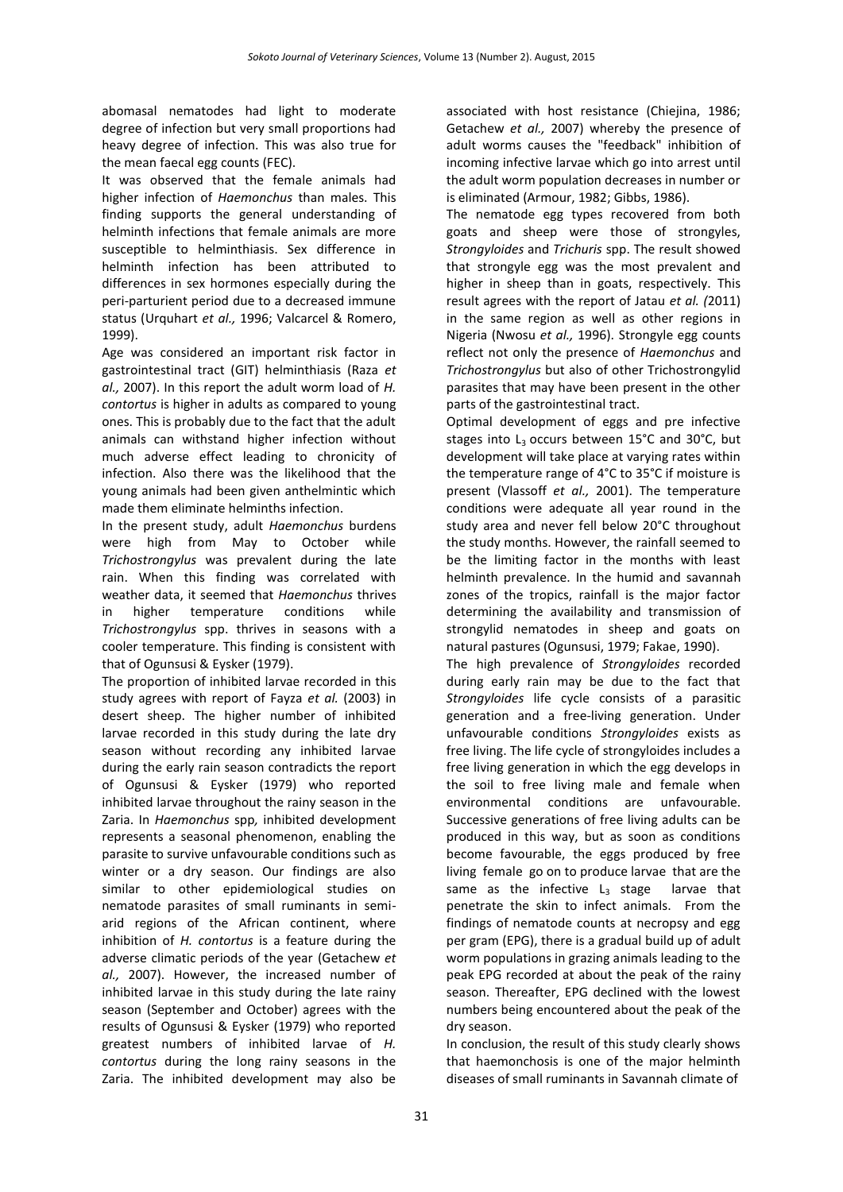abomasal nematodes had light to moderate degree of infection but very small proportions had heavy degree of infection. This was also true for the mean faecal egg counts (FEC).

It was observed that the female animals had higher infection of *Haemonchus* than males. This finding supports the general understanding of helminth infections that female animals are more susceptible to helminthiasis. Sex difference in helminth infection has been attributed to differences in sex hormones especially during the peri-parturient period due to a decreased immune status (Urquhart *et al.,* 1996; Valcarcel & Romero, 1999).

Age was considered an important risk factor in gastrointestinal tract (GIT) helminthiasis (Raza *et al.,* 2007). In this report the adult worm load of *H. contortus* is higher in adults as compared to young ones. This is probably due to the fact that the adult animals can withstand higher infection without much adverse effect leading to chronicity of infection. Also there was the likelihood that the young animals had been given anthelmintic which made them eliminate helminths infection.

In the present study, adult *Haemonchus* burdens were high from May to October while *Trichostrongylus* was prevalent during the late rain. When this finding was correlated with weather data, it seemed that *Haemonchus* thrives in higher temperature conditions while *Trichostrongylus* spp. thrives in seasons with a cooler temperature. This finding is consistent with that of Ogunsusi & Eysker (1979).

The proportion of inhibited larvae recorded in this study agrees with report of Fayza *et al.* (2003) in desert sheep. The higher number of inhibited larvae recorded in this study during the late dry season without recording any inhibited larvae during the early rain season contradicts the report of Ogunsusi & Eysker (1979) who reported inhibited larvae throughout the rainy season in the Zaria. In *Haemonchus* spp*,* inhibited development represents a seasonal phenomenon, enabling the parasite to survive unfavourable conditions such as winter or a dry season. Our findings are also similar to other epidemiological studies on nematode parasites of small ruminants in semiarid regions of the African continent, where inhibition of *H. contortus* is a feature during the adverse climatic periods of the year (Getachew *et al.,* 2007). However, the increased number of inhibited larvae in this study during the late rainy season (September and October) agrees with the results of Ogunsusi & Eysker (1979) who reported greatest numbers of inhibited larvae of *H. contortus* during the long rainy seasons in the Zaria. The inhibited development may also be

associated with host resistance (Chiejina, 1986; Getachew *et al.,* 2007) whereby the presence of adult worms causes the "feedback" inhibition of incoming infective larvae which go into arrest until the adult worm population decreases in number or is eliminated (Armour, 1982; Gibbs, 1986).

The nematode egg types recovered from both goats and sheep were those of strongyles, *Strongyloides* and *Trichuris* spp. The result showed that strongyle egg was the most prevalent and higher in sheep than in goats, respectively. This result agrees with the report of Jatau *et al. (*2011) in the same region as well as other regions in Nigeria (Nwosu *et al.,* 1996). Strongyle egg counts reflect not only the presence of *Haemonchus* and *Trichostrongylus* but also of other Trichostrongylid parasites that may have been present in the other parts of the gastrointestinal tract.

Optimal development of eggs and pre infective stages into  $L_3$  occurs between 15°C and 30°C, but development will take place at varying rates within the temperature range of 4°C to 35°C if moisture is present (Vlassoff *et al.,* 2001). The temperature conditions were adequate all year round in the study area and never fell below 20°C throughout the study months. However, the rainfall seemed to be the limiting factor in the months with least helminth prevalence. In the humid and savannah zones of the tropics, rainfall is the major factor determining the availability and transmission of strongylid nematodes in sheep and goats on natural pastures (Ogunsusi, 1979; Fakae, 1990).

The high prevalence of *Strongyloides* recorded during early rain may be due to the fact that *Strongyloides* life cycle consists of a parasitic generation and a free-living generation. Under unfavourable conditions *Strongyloides* exists as free living. The life cycle of strongyloides includes a free living generation in which the egg develops in the soil to free living male and female when environmental conditions are unfavourable. Successive generations of free living adults can be produced in this way, but as soon as conditions become favourable, the eggs produced by free living female go on to produce larvae that are the same as the infective  $L_3$  stage larvae that penetrate the skin to infect animals. From the findings of nematode counts at necropsy and egg per gram (EPG), there is a gradual build up of adult worm populations in grazing animals leading to the peak EPG recorded at about the peak of the rainy season. Thereafter, EPG declined with the lowest numbers being encountered about the peak of the dry season.

In conclusion, the result of this study clearly shows that haemonchosis is one of the major helminth diseases of small ruminants in Savannah climate of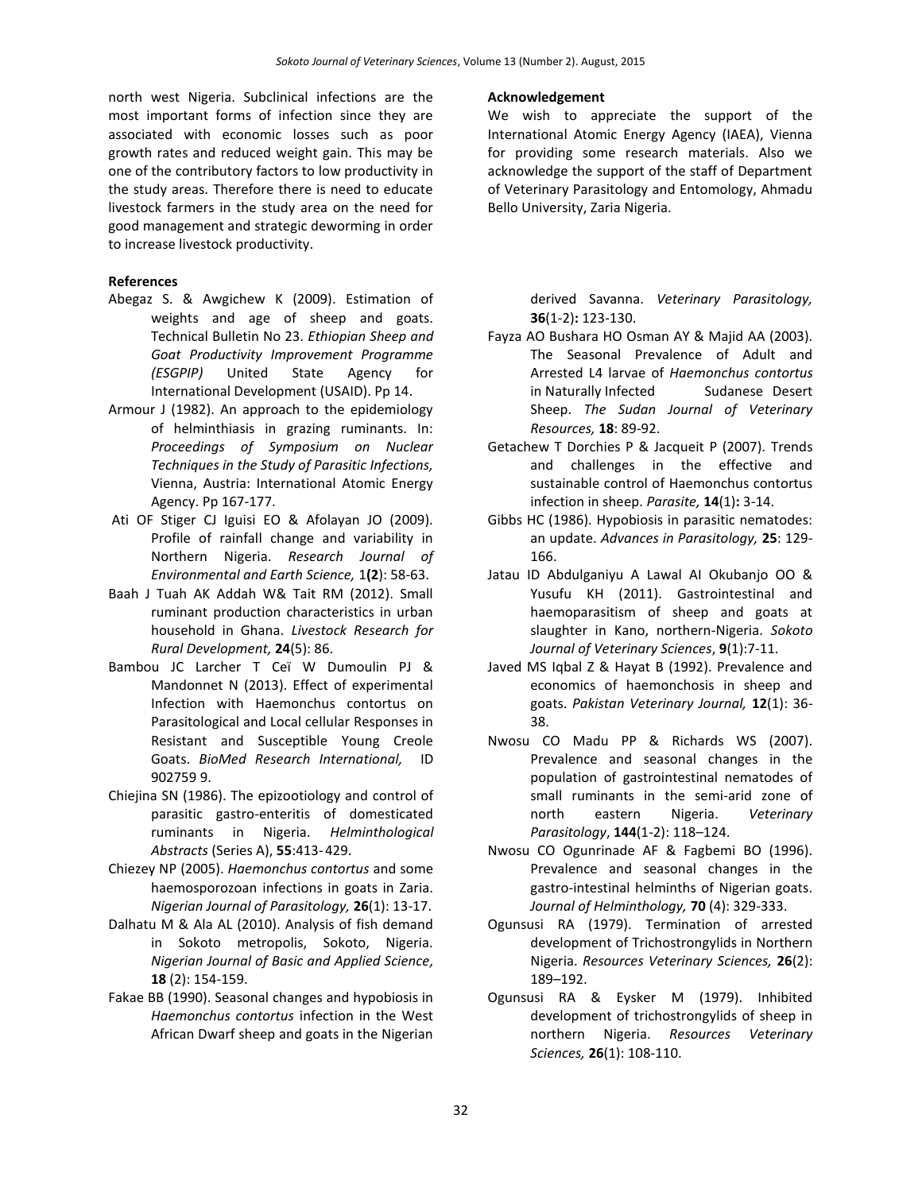north west Nigeria. Subclinical infections are the most important forms of infection since they are associated with economic losses such as poor growth rates and reduced weight gain. This may be one of the contributory factors to low productivity in the study areas. Therefore there is need to educate livestock farmers in the study area on the need for good management and strategic deworming in order to increase livestock productivity.

# **References**

- Abegaz S. & Awgichew K (2009). Estimation of weights and age of sheep and goats. Technical Bulletin No 23. *Ethiopian Sheep and Goat Productivity Improvement Programme (ESGPIP)* United State Agency for International Development (USAID). Pp 14.
- Armour J (1982). An approach to the epidemiology of helminthiasis in grazing ruminants. In: *Proceedings of Symposium on Nuclear Techniques in the Study of Parasitic Infections,*  Vienna, Austria: International Atomic Energy Agency. Pp 167-177.
- Ati OF Stiger CJ Iguisi EO & Afolayan JO (2009). Profile of rainfall change and variability in Northern Nigeria. *Research Journal of Environmental and Earth Science,* 1**(2**): 58-63.
- Baah J Tuah AK Addah W& Tait RM (2012). Small ruminant production characteristics in urban household in Ghana. *Livestock Research for Rural Development,* **24**(5): 86.
- Bambou JC Larcher T Ceï W Dumoulin PJ & Mandonnet N (2013). Effect of experimental Infection with Haemonchus contortus on Parasitological and Local cellular Responses in Resistant and Susceptible Young Creole Goats. *BioMed Research International,* ID 902759 9.
- Chiejina SN (1986). The epizootiology and control of parasitic gastro-enteritis of domesticated ruminants in Nigeria. *Helminthological Abstracts* (Series A), **55**:413-429.
- Chiezey NP (2005). *Haemonchus contortus* and some haemosporozoan infections in goats in Zaria. *Nigerian Journal of Parasitology,* **26**(1): 13-17.
- Dalhatu M & Ala AL (2010). Analysis of fish demand in Sokoto metropolis, Sokoto, Nigeria. *Nigerian Journal of Basic and Applied Science,* **18** (2): 154-159.
- Fakae BB (1990). Seasonal changes and hypobiosis in *Haemonchus contortus* infection in the West African Dwarf sheep and goats in the Nigerian

### **Acknowledgement**

We wish to appreciate the support of the International Atomic Energy Agency (IAEA), Vienna for providing some research materials. Also we acknowledge the support of the staff of Department of Veterinary Parasitology and Entomology, Ahmadu Bello University, Zaria Nigeria.

> derived Savanna. *Veterinary Parasitology,* **36**(1-2)**:** 123-130.

- Fayza AO Bushara HO Osman AY & Majid AA (2003). The Seasonal Prevalence of Adult and Arrested L4 larvae of *Haemonchus contortus*  in Naturally Infected Sudanese Desert Sheep. *The Sudan Journal of Veterinary Resources,* **18**: 89-92.
- Getachew T Dorchies P & Jacqueit P (2007). Trends and challenges in the effective and sustainable control of Haemonchus contortus infection in sheep. *Parasite,* **14**(1)**:** 3-14.
- Gibbs HC (1986). Hypobiosis in parasitic nematodes: an update. *Advances in Parasitology,* **25**: 129- 166.
- Jatau ID Abdulganiyu A Lawal AI Okubanjo OO & Yusufu KH (2011). Gastrointestinal and haemoparasitism of sheep and goats at slaughter in Kano, northern-Nigeria. *Sokoto Journal of Veterinary Sciences*, **9**(1):7-11.
- Javed MS Iqbal Z & Hayat B (1992). Prevalence and economics of haemonchosis in sheep and goats. *Pakistan Veterinary Journal,* **12**(1): 36- 38.
- Nwosu CO Madu PP & Richards WS (2007). Prevalence and seasonal changes in the population of gastrointestinal nematodes of small ruminants in the semi-arid zone of north eastern Nigeria. *Veterinary Parasitology*, **144**(1-2): 118–124.
- Nwosu CO Ogunrinade AF & Fagbemi BO (1996). Prevalence and seasonal changes in the gastro-intestinal helminths of Nigerian goats. *Journal of Helminthology,* **70** (4): 329-333.
- Ogunsusi RA (1979). Termination of arrested development of Trichostrongylids in Northern Nigeria. *Resources Veterinary Sciences,* **26**(2): 189–192.
- Ogunsusi RA & Eysker M (1979). Inhibited development of trichostrongylids of sheep in northern Nigeria. *Resources Veterinary Sciences,* **26**(1): 108-110.